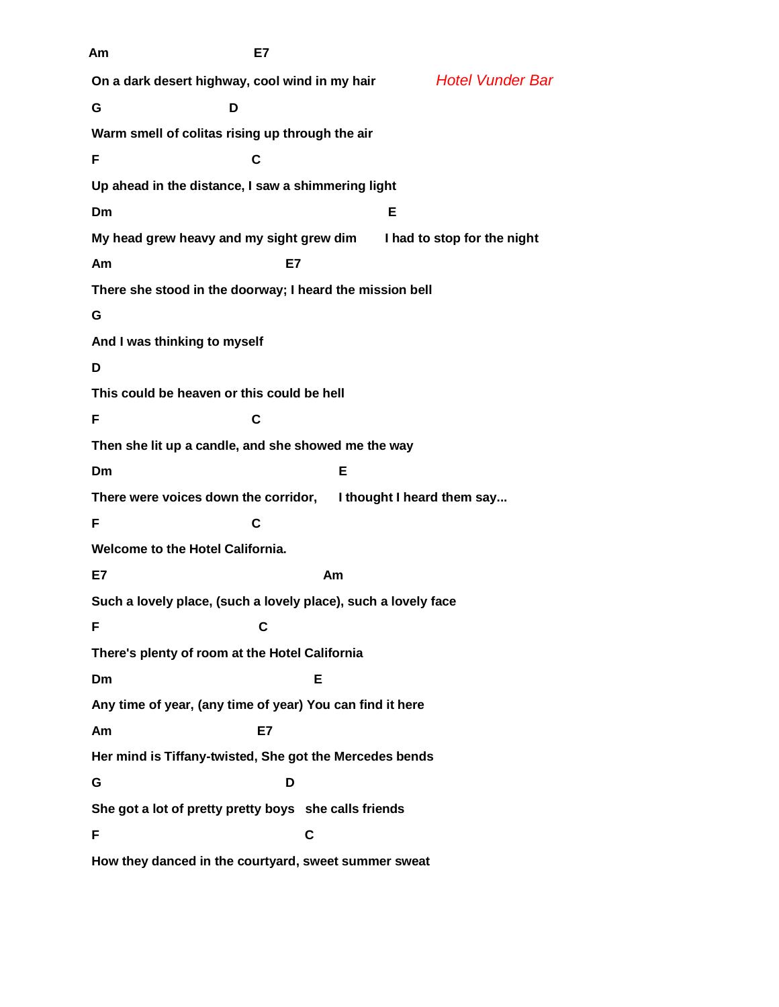**Am E7 On a dark desert highway, cool wind in my hair** *Hotel Vunder Bar* **G D Warm smell of colitas rising up through the air F C Up ahead in the distance, I saw a shimmering light Dm E My head grew heavy and my sight grew dim I had to stop for the night Am E7 There she stood in the doorway; I heard the mission bell G And I was thinking to myself D This could be heaven or this could be hell F C Then she lit up a candle, and she showed me the way Dm E There were voices down the corridor, I thought I heard them say... F C Welcome to the Hotel California. E7 Am Such a lovely place, (such a lovely place), such a lovely face F C There's plenty of room at the Hotel California Dm E Any time of year, (any time of year) You can find it here Am E7 Her mind is Tiffany-twisted, She got the Mercedes bends G D She got a lot of pretty pretty boys she calls friends F C How they danced in the courtyard, sweet summer sweat**